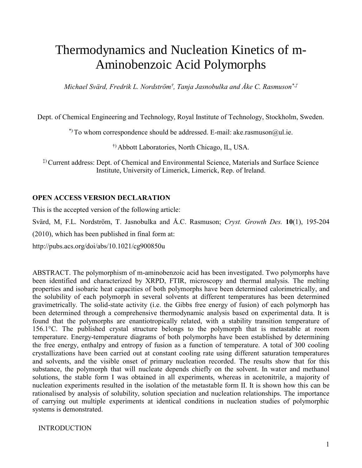# Thermodynamics and Nucleation Kinetics of m-Aminobenzoic Acid Polymorphs

*Michael Svärd, Fredrik L. Nordström† , Tanja Jasnobulka and Åke C. Rasmuson\*,‡*

Dept. of Chemical Engineering and Technology, Royal Institute of Technology, Stockholm, Sweden.

\*) To whom correspondence should be addressed. E-mail: ake.rasmuson $\omega$ ul.ie.

†) Abbott Laboratories, North Chicago, IL, USA.

‡)Current address: Dept. of Chemical and Environmental Science, Materials and Surface Science Institute, University of Limerick, Limerick, Rep. of Ireland.

## **OPEN ACCESS VERSION DECLARATION**

This is the accepted version of the following article:

Svärd, M, F.L. Nordström, T. Jasnobulka and Å.C. Rasmuson; *Cryst. Growth Des.* **10**(1), 195-204

(2010), which has been published in final form at:

http://pubs.acs.org/doi/abs/10.1021/cg900850u

ABSTRACT. The polymorphism of m-aminobenzoic acid has been investigated. Two polymorphs have been identified and characterized by XRPD, FTIR, microscopy and thermal analysis. The melting properties and isobaric heat capacities of both polymorphs have been determined calorimetrically, and the solubility of each polymorph in several solvents at different temperatures has been determined gravimetrically. The solid-state activity (i.e. the Gibbs free energy of fusion) of each polymorph has been determined through a comprehensive thermodynamic analysis based on experimental data. It is found that the polymorphs are enantiotropically related, with a stability transition temperature of 156.1°C. The published crystal structure belongs to the polymorph that is metastable at room temperature. Energy-temperature diagrams of both polymorphs have been established by determining the free energy, enthalpy and entropy of fusion as a function of temperature. A total of 300 cooling crystallizations have been carried out at constant cooling rate using different saturation temperatures and solvents, and the visible onset of primary nucleation recorded. The results show that for this substance, the polymorph that will nucleate depends chiefly on the solvent. In water and methanol solutions, the stable form I was obtained in all experiments, whereas in acetonitrile, a majority of nucleation experiments resulted in the isolation of the metastable form II. It is shown how this can be rationalised by analysis of solubility, solution speciation and nucleation relationships. The importance of carrying out multiple experiments at identical conditions in nucleation studies of polymorphic systems is demonstrated.

INTRODUCTION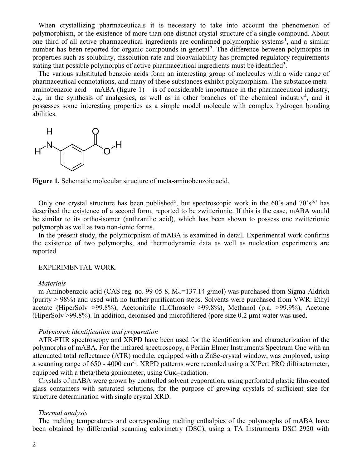When crystallizing pharmaceuticals it is necessary to take into account the phenomenon of polymorphism, or the existence of more than one distinct crystal structure of a single compound. About one third of all active pharmaceutical ingredients are confirmed polymorphic systems<sup>1</sup>, and a similar number has been reported for organic compounds in general<sup>2</sup>. The difference between polymorphs in properties such as solubility, dissolution rate and bioavailability has prompted regulatory requirements stating that possible polymorphs of active pharmaceutical ingredients must be identified<sup>3</sup>.

The various substituted benzoic acids form an interesting group of molecules with a wide range of pharmaceutical connotations, and many of these substances exhibit polymorphism. The substance metaaminobenzoic acid – mABA (figure  $1$ ) – is of considerable importance in the pharmaceutical industry, e.g. in the synthesis of analgesics, as well as in other branches of the chemical industry<sup>4</sup>, and it possesses some interesting properties as a simple model molecule with complex hydrogen bonding abilities.



**Figure 1.** Schematic molecular structure of meta-aminobenzoic acid.

Only one crystal structure has been published<sup>5</sup>, but spectroscopic work in the 60's and 70's<sup>6,7</sup> has described the existence of a second form, reported to be zwitterionic. If this is the case, mABA would be similar to its ortho-isomer (anthranilic acid), which has been shown to possess one zwitterionic polymorph as well as two non-ionic forms.

In the present study, the polymorphism of mABA is examined in detail. Experimental work confirms the existence of two polymorphs, and thermodynamic data as well as nucleation experiments are reported.

## EXPERIMENTAL WORK

#### *Materials*

m-Aminobenzoic acid (CAS reg. no. 99-05-8,  $M_w=137.14$  g/mol) was purchased from Sigma-Aldrich (purity > 98%) and used with no further purification steps. Solvents were purchased from VWR: Ethyl acetate (HiperSolv >99.8%), Acetonitrile (LiChrosolv >99.8%), Methanol (p.a. >99.9%), Acetone (HiperSolv >99.8%). In addition, deionised and microfiltered (pore size 0.2 μm) water was used.

## *Polymorph identification and preparation*

ATR-FTIR spectroscopy and XRPD have been used for the identification and characterization of the polymorphs of mABA. For the infrared spectroscopy, a Perkin Elmer Instruments Spectrum One with an attenuated total reflectance (ATR) module, equipped with a ZnSe-crystal window, was employed, using a scanning range of 650 - 4000 cm<sup>-1</sup>. XRPD patterns were recorded using a X'Pert PRO diffractometer, equipped with a theta/theta goniometer, using  $\text{Cu}\kappa_{\alpha}$ -radiation.

Crystals of mABA were grown by controlled solvent evaporation, using perforated plastic film-coated glass containers with saturated solutions, for the purpose of growing crystals of sufficient size for structure determination with single crystal XRD.

## *Thermal analysis*

The melting temperatures and corresponding melting enthalpies of the polymorphs of mABA have been obtained by differential scanning calorimetry (DSC), using a TA Instruments DSC 2920 with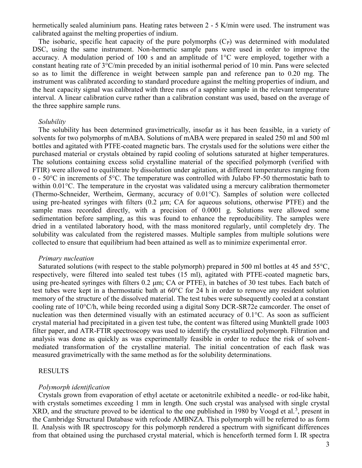hermetically sealed aluminium pans. Heating rates between 2 - 5 K/min were used. The instrument was calibrated against the melting properties of indium.

The isobaric, specific heat capacity of the pure polymorphs  $(C<sub>P</sub>)$  was determined with modulated DSC, using the same instrument. Non-hermetic sample pans were used in order to improve the accuracy. A modulation period of 100 s and an amplitude of 1°C were employed, together with a constant heating rate of 3°C/min preceded by an initial isothermal period of 10 min. Pans were selected so as to limit the difference in weight between sample pan and reference pan to 0.20 mg. The instrument was calibrated according to standard procedure against the melting properties of indium, and the heat capacity signal was calibrated with three runs of a sapphire sample in the relevant temperature interval. A linear calibration curve rather than a calibration constant was used, based on the average of the three sapphire sample runs.

#### *Solubility*

The solubility has been determined gravimetrically, insofar as it has been feasible, in a variety of solvents for two polymorphs of mABA. Solutions of mABA were prepared in sealed 250 ml and 500 ml bottles and agitated with PTFE-coated magnetic bars. The crystals used for the solutions were either the purchased material or crystals obtained by rapid cooling of solutions saturated at higher temperatures. The solutions containing excess solid crystalline material of the specified polymorph (verified with FTIR) were allowed to equilibrate by dissolution under agitation, at different temperatures ranging from 0 -  $50^{\circ}$ C in increments of  $5^{\circ}$ C. The temperature was controlled with Julabo FP-50 thermostatic bath to within 0.01°C. The temperature in the cryostat was validated using a mercury calibration thermometer (Thermo-Schneider, Wertheim, Germany, accuracy of 0.01°C). Samples of solution were collected using pre-heated syringes with filters (0.2 μm; CA for aqueous solutions, otherwise PTFE) and the sample mass recorded directly, with a precision of 0.0001 g. Solutions were allowed some sedimentation before sampling, as this was found to enhance the reproducibility. The samples were dried in a ventilated laboratory hood, with the mass monitored regularly, until completely dry. The solubility was calculated from the registered masses. Multiple samples from multiple solutions were collected to ensure that equilibrium had been attained as well as to minimize experimental error.

## *Primary nucleation*

Saturated solutions (with respect to the stable polymorph) prepared in 500 ml bottles at 45 and 55°C, respectively, were filtered into sealed test tubes (15 ml), agitated with PTFE-coated magnetic bars, using pre-heated syringes with filters 0.2 μm; CA or PTFE), in batches of 30 test tubes. Each batch of test tubes were kept in a thermostatic bath at 60°C for 24 h in order to remove any resident solution memory of the structure of the dissolved material. The test tubes were subsequently cooled at a constant cooling rate of 10°C/h, while being recorded using a digital Sony DCR-SR72e camcorder. The onset of nucleation was then determined visually with an estimated accuracy of 0.1°C. As soon as sufficient crystal material had precipitated in a given test tube, the content was filtered using Munktell grade 1003 filter paper, and ATR-FTIR spectroscopy was used to identify the crystallized polymorph. Filtration and analysis was done as quickly as was experimentally feasible in order to reduce the risk of solventmediated transformation of the crystalline material. The initial concentration of each flask was measured gravimetrically with the same method as for the solubility determinations.

## RESULTS

#### *Polymorph identification*

Crystals grown from evaporation of ethyl acetate or acetonitrile exhibited a needle- or rod-like habit, with crystals sometimes exceeding 1 mm in length. One such crystal was analysed with single crystal  $XRD$ , and the structure proved to be identical to the one published in 1980 by Voogd et al.<sup>5</sup>, present in the Cambridge Structural Database with refcode AMBNZA. This polymorph will be referred to as form II. Analysis with IR spectroscopy for this polymorph rendered a spectrum with significant differences from that obtained using the purchased crystal material, which is henceforth termed form I. IR spectra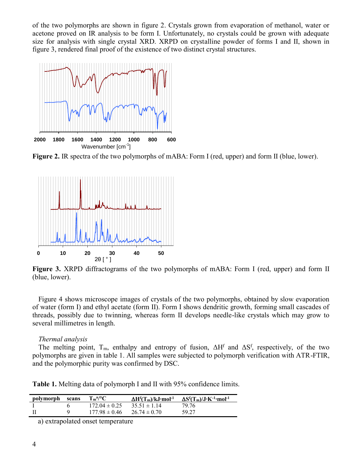of the two polymorphs are shown in figure 2. Crystals grown from evaporation of methanol, water or acetone proved on IR analysis to be form I. Unfortunately, no crystals could be grown with adequate size for analysis with single crystal XRD. XRPD on crystalline powder of forms I and II, shown in figure 3, rendered final proof of the existence of two distinct crystal structures.



**Figure 2.** IR spectra of the two polymorphs of mABA: Form I (red, upper) and form II (blue, lower).



**Figure 3.** XRPD diffractograms of the two polymorphs of mABA: Form I (red, upper) and form II (blue, lower).

Figure 4 shows microscope images of crystals of the two polymorphs, obtained by slow evaporation of water (form I) and ethyl acetate (form II). Form I shows dendritic growth, forming small cascades of threads, possibly due to twinning, whereas form II develops needle-like crystals which may grow to several millimetres in length.

## *Thermal analysis*

The melting point,  $T_m$ , enthalpy and entropy of fusion,  $\Delta H^f$  and  $\Delta S^f$ , respectively, of the two polymorphs are given in table 1. All samples were subjected to polymorph verification with ATR-FTIR, and the polymorphic purity was confirmed by DSC.

**Table 1.** Melting data of polymorph I and II with 95% confidence limits.

| polymorph scans | $T_m^{a/o}C$      | $\Delta H^{f}(T_{m})/kJ \cdot mol^{-1}$ | $\Delta S^f(T_m)/J \cdot K^{-1} \cdot mol^{-1}$ |
|-----------------|-------------------|-----------------------------------------|-------------------------------------------------|
|                 | $172.04 \pm 0.25$ | $35.51 \pm 1.14$                        | 79.76                                           |
|                 | $177.98 \pm 0.46$ | $26.74 \pm 0.70$                        | 59.27                                           |

a) extrapolated onset temperature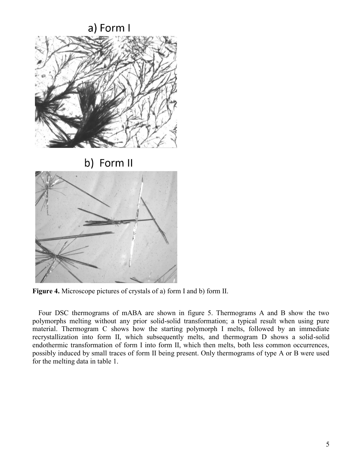

**Figure 4.** Microscope pictures of crystals of a) form I and b) form II.

Four DSC thermograms of mABA are shown in figure 5. Thermograms A and B show the two polymorphs melting without any prior solid-solid transformation; a typical result when using pure material. Thermogram C shows how the starting polymorph I melts, followed by an immediate recrystallization into form II, which subsequently melts, and thermogram D shows a solid-solid endothermic transformation of form I into form II, which then melts, both less common occurrences, possibly induced by small traces of form II being present. Only thermograms of type A or B were used for the melting data in table 1.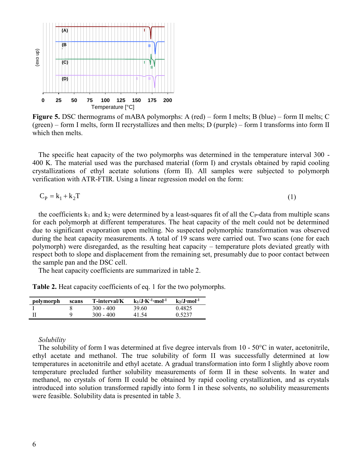

**Figure 5.** DSC thermograms of mABA polymorphs: A (red) – form I melts; B (blue) – form II melts; C  $(green)$  – form I melts, form II recrystallizes and then melts; D (purple) – form I transforms into form II which then melts.

The specific heat capacity of the two polymorphs was determined in the temperature interval 300 - 400 K. The material used was the purchased material (form I) and crystals obtained by rapid cooling crystallizations of ethyl acetate solutions (form II). All samples were subjected to polymorph verification with ATR-FTIR. Using a linear regression model on the form:

$$
C_P = k_1 + k_2 T \tag{1}
$$

the coefficients  $k_1$  and  $k_2$  were determined by a least-squares fit of all the C<sub>P</sub>-data from multiple scans for each polymorph at different temperatures. The heat capacity of the melt could not be determined due to significant evaporation upon melting. No suspected polymorphic transformation was observed during the heat capacity measurements. A total of 19 scans were carried out. Two scans (one for each polymorph) were disregarded, as the resulting heat capacity – temperature plots deviated greatly with respect both to slope and displacement from the remaining set, presumably due to poor contact between the sample pan and the DSC cell.

The heat capacity coefficients are summarized in table 2.

|  | <b>Table 2.</b> Heat capacity coefficients of eq. 1 for the two polymorphs. |  |  |
|--|-----------------------------------------------------------------------------|--|--|
|  |                                                                             |  |  |

| polymorph | scans | T-interval/K | $k_1/J$ ·K <sup>-1</sup> ·mol <sup>-1</sup> | $k_2/J$ ·mol <sup>-1</sup> |
|-----------|-------|--------------|---------------------------------------------|----------------------------|
|           |       | $300 - 400$  | 39.60                                       | 0.4825                     |
| Н         |       | $300 - 400$  | 41.54                                       | 0.5237                     |

## *Solubility*

The solubility of form I was determined at five degree intervals from 10 - 50°C in water, acetonitrile, ethyl acetate and methanol. The true solubility of form II was successfully determined at low temperatures in acetonitrile and ethyl acetate. A gradual transformation into form I slightly above room temperature precluded further solubility measurements of form II in these solvents. In water and methanol, no crystals of form II could be obtained by rapid cooling crystallization, and as crystals introduced into solution transformed rapidly into form I in these solvents, no solubility measurements were feasible. Solubility data is presented in table 3.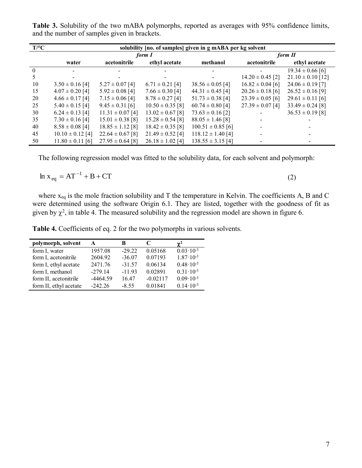| $T$ /°C  | solubility [no. of samples] given in g mABA per kg solvent |                      |                      |                       |                      |                       |  |  |
|----------|------------------------------------------------------------|----------------------|----------------------|-----------------------|----------------------|-----------------------|--|--|
|          |                                                            | form I               |                      | form II               |                      |                       |  |  |
|          | water                                                      | acetonitrile         | ethyl acetate        | methanol              | acetonitrile         | ethyl acetate         |  |  |
| $\theta$ |                                                            |                      |                      |                       |                      | $19.34 \pm 0.66$ [6]  |  |  |
| 5        |                                                            |                      |                      |                       | $14.20 \pm 0.45$ [2] | $21.10 \pm 0.10$ [12] |  |  |
| 10       | $3.50 \pm 0.16$ [4]                                        | $5.27 \pm 0.07$ [4]  | $6.71 \pm 0.21$ [4]  | $38.56 \pm 0.05$ [4]  | $16.82 \pm 0.04$ [6] | $24.06 \pm 0.19$ [7]  |  |  |
| 15       | $4.07 \pm 0.20$ [4]                                        | $5.92 \pm 0.08$ [4]  | $7.66 \pm 0.30$ [4]  | $44.31 \pm 0.45$ [4]  | $20.26 \pm 0.18$ [6] | $26.52 \pm 0.16$ [9]  |  |  |
| 20       | $4.66 \pm 0.17$ [4]                                        | $7.15 \pm 0.06$ [4]  | $8.78 \pm 0.27$ [4]  | $51.73 \pm 0.38$ [4]  | $23.39 \pm 0.05$ [6] | $29.61 \pm 0.11$ [6]  |  |  |
| 25       | $5.40 \pm 0.15$ [4]                                        | $9.45 \pm 0.31$ [6]  | $10.50 \pm 0.35$ [8] | $60.74 \pm 0.80$ [4]  | $27.39 \pm 0.07$ [4] | $33.49 \pm 0.24$ [8]  |  |  |
| 30       | $6.24 \pm 0.13$ [4]                                        | $11.31 \pm 0.07$ [4] | $13.02 \pm 0.67$ [8] | $73.63 \pm 0.16$ [2]  |                      | $36.53 \pm 0.19$ [8]  |  |  |
| 35       | $7.30 \pm 0.16$ [4]                                        | $15.01 \pm 0.38$ [8] | $15.28 \pm 0.54$ [8] | $88.05 \pm 1.46$ [8]  |                      |                       |  |  |
| 40       | $8.58 \pm 0.08$ [4]                                        | $18.85 \pm 1.12$ [8] | $18.42 \pm 0.35$ [8] | $100.51 \pm 0.85$ [6] |                      |                       |  |  |
| 45       | $10.10 \pm 0.12$ [4]                                       | $22.64 \pm 0.67$ [8] | $21.49 \pm 0.52$ [4] | $118.12 \pm 1.40$ [4] |                      |                       |  |  |
| 50       | $11.80 \pm 0.11$ [6]                                       | $27.95 \pm 0.64$ [8] | $26.18 \pm 1.02$ [4] | $138.55 \pm 3.15$ [4] |                      |                       |  |  |

**Table 3.** Solubility of the two mABA polymorphs, reported as averages with 95% confidence limits, and the number of samples given in brackets.

The following regression model was fitted to the solubility data, for each solvent and polymorph:

$$
\ln x_{eq} = AT^{-1} + B + CT
$$

(2)

where  $x_{eq}$  is the mole fraction solubility and T the temperature in Kelvin. The coefficients A, B and C were determined using the software Origin 6.1. They are listed, together with the goodness of fit as given by  $\chi^2$ , in table 4. The measured solubility and the regression model are shown in figure 6.

**Table 4.** Coefficients of eq. 2 for the two polymorphs in various solvents.

| polymorph, solvent     | A          | В        |            | $\gamma^2$           |
|------------------------|------------|----------|------------|----------------------|
| form I, water          | 1957.08    | $-29.22$ | 0.05168    | $0.03 \cdot 10^{-3}$ |
| form I, acetonitrile   | 2604.92    | $-36.07$ | 0.07193    | $1.87 \cdot 10^{-3}$ |
| form I, ethyl acetate  | 2471.76    | $-31.57$ | 0.06134    | $0.48 \cdot 10^{-3}$ |
| form I, methanol       | $-279.14$  | $-11.93$ | 0.02891    | $0.31 \cdot 10^{-3}$ |
| form II, acetonitrile  | $-4464.59$ | 16.47    | $-0.02117$ | $0.09 \cdot 10^{-3}$ |
| form II, ethyl acetate | $-242.26$  | $-8.55$  | 0.01841    | $0.14 \cdot 10^{-3}$ |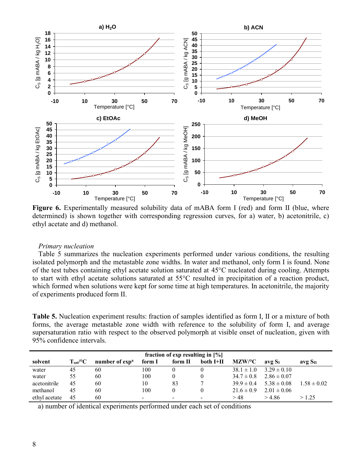

Figure 6. Experimentally measured solubility data of mABA form I (red) and form II (blue, where determined) is shown together with corresponding regression curves, for a) water, b) acetonitrile, c) ethyl acetate and d) methanol.

#### *Primary nucleation*

Table 5 summarizes the nucleation experiments performed under various conditions, the resulting isolated polymorph and the metastable zone widths. In water and methanol, only form I is found. None of the test tubes containing ethyl acetate solution saturated at 45°C nucleated during cooling. Attempts to start with ethyl acetate solutions saturated at 55°C resulted in precipitation of a reaction product, which formed when solutions were kept for some time at high temperatures. In acetonitrile, the majority of experiments produced form II.

**Table 5.** Nucleation experiment results: fraction of samples identified as form I, II or a mixture of both forms, the average metastable zone width with reference to the solubility of form I, and average supersaturation ratio with respect to the observed polymorph at visible onset of nucleation, given with 95% confidence intervals.

| fraction of exp resulting in $[\%]$ |                   |                            |        |         |                          |                |                    |                     |
|-------------------------------------|-------------------|----------------------------|--------|---------|--------------------------|----------------|--------------------|---------------------|
| solvent                             | $T_{\rm sat}$ /°C | number of exp <sup>a</sup> | form I | form II | both I+II                | MZW/°C         | avg S <sub>I</sub> | avg S <sub>II</sub> |
| water                               | 45                | 60                         | 100    |         |                          | $38.1 \pm 1.0$ | $3.29 \pm 0.10$    |                     |
| water                               | 55                | 60                         | 100    |         |                          | $34.7 \pm 0.8$ | $2.86 \pm 0.07$    |                     |
| acetonitrile                        | 45                | 60                         | 10     | 83      |                          | $39.9 \pm 0.4$ | $5.38 \pm 0.08$    | $1.58 \pm 0.02$     |
| methanol                            | 45                | 60                         | 100    |         |                          | $21.6 \pm 0.9$ | $2.01 \pm 0.06$    |                     |
| ethyl acetate                       | 45                | 60                         |        | -       | $\overline{\phantom{0}}$ | > 48           | >4.86              | >1.25               |

a) number of identical experiments performed under each set of conditions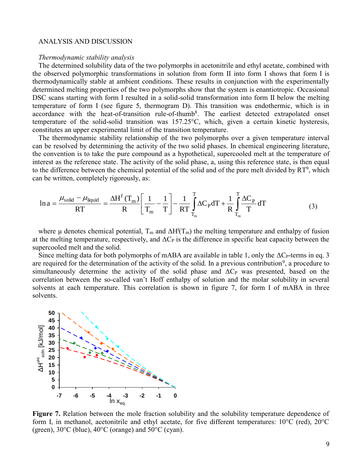#### ANALYSIS AND DISCUSSION

#### *Thermodynamic stability analysis*

The determined solubility data of the two polymorphs in acetonitrile and ethyl acetate, combined with the observed polymorphic transformations in solution from form II into form I shows that form I is thermodynamically stable at ambient conditions. These results in conjunction with the experimentally determined melting properties of the two polymorphs show that the system is enantiotropic. Occasional DSC scans starting with form I resulted in a solid-solid transformation into form II below the melting temperature of form I (see figure 5, thermogram D). This transition was endothermic, which is in accordance with the heat-of-transition rule-of-thumb<sup>8</sup>. The earliest detected extrapolated onset temperature of the solid-solid transition was 157.25°C, which, given a certain kinetic hysteresis, constitutes an upper experimental limit of the transition temperature.

The thermodynamic stability relationship of the two polymorphs over a given temperature interval can be resolved by determining the activity of the two solid phases. In chemical engineering literature, the convention is to take the pure compound as a hypothetical, supercooled melt at the temperature of interest as the reference state. The activity of the solid phase, a, using this reference state, is then equal to the difference between the chemical potential of the solid and of the pure melt divided by  $RT^9$ , which can be written, completely rigorously, as:

$$
\ln a = \frac{\mu_{\text{solid}} - \mu_{\text{liquid}}}{RT} = \frac{\Delta H^f(T_m)}{R} \left[ \frac{1}{T_m} - \frac{1}{T} \right] - \frac{1}{RT} \int_{T_m}^{T} \Delta C_P dT + \frac{1}{R} \int_{T_m}^{T} \frac{\Delta C_P}{T} dT \tag{3}
$$

where  $\mu$  denotes chemical potential,  $T_m$  and  $\Delta H^f(T_m)$  the melting temperature and enthalpy of fusion at the melting temperature, respectively, and  $\Delta C_P$  is the difference in specific heat capacity between the supercooled melt and the solid.

Since melting data for both polymorphs of mABA are available in table 1, only the  $\Delta C_{P}$ -terms in eq. 3 are required for the determination of the activity of the solid. In a previous contribution<sup>9</sup>, a procedure to simultaneously determine the activity of the solid phase and  $\Delta C_P$  was presented, based on the correlation between the so-called van't Hoff enthalpy of solution and the molar solubility in several solvents at each temperature. This correlation is shown in figure 7, for form I of mABA in three solvents.



**Figure 7.** Relation between the mole fraction solubility and the solubility temperature dependence of form I, in methanol, acetonitrile and ethyl acetate, for five different temperatures: 10°C (red), 20°C (green),  $30^{\circ}$ C (blue),  $40^{\circ}$ C (orange) and  $50^{\circ}$ C (cyan).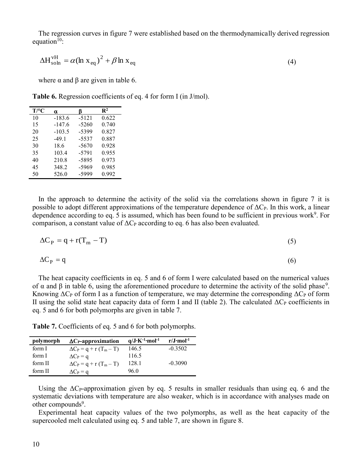The regression curves in figure 7 were established based on the thermodynamically derived regression equation $10$ :

$$
\Delta H_{\text{soln}}^{\text{vH}} = \alpha (\ln x_{\text{eq}})^2 + \beta \ln x_{\text{eq}} \tag{4}
$$

where  $\alpha$  and  $\beta$  are given in table 6.

**Table 6.** Regression coefficients of eq. 4 for form I (in J/mol).

| $T$ /°C | α        | B       | $\mathbf{R}^2$ |
|---------|----------|---------|----------------|
| 10      | $-183.6$ | $-5121$ | 0.622          |
| 15      | $-147.6$ | $-5260$ | 0.740          |
| 20      | $-103.5$ | $-5399$ | 0.827          |
| 25      | $-49.1$  | $-5537$ | 0.887          |
| 30      | 18.6     | $-5670$ | 0.928          |
| 35      | 103.4    | $-5791$ | 0.955          |
| 40      | 210.8    | $-5895$ | 0.973          |
| 45      | 348.2    | $-5969$ | 0.985          |
| 50      | 526.0    | -5999   | 0.992          |

In the approach to determine the activity of the solid via the correlations shown in figure 7 it is possible to adopt different approximations of the temperature dependence of  $\Delta C_{P}$ . In this work, a linear dependence according to eq. 5 is assumed, which has been found to be sufficient in previous work<sup>9</sup>. For comparison, a constant value of  $\Delta C_P$  according to eq. 6 has also been evaluated.

$$
\Delta C_{\rm P} = q + r(T_{\rm m} - T) \tag{5}
$$

$$
\Delta C_{\rm P} = q \tag{6}
$$

The heat capacity coefficients in eq. 5 and 6 of form I were calculated based on the numerical values of  $\alpha$  and  $\beta$  in table 6, using the aforementioned procedure to determine the activity of the solid phase<sup>9</sup>. Knowing  $\Delta C_{P}$  of form I as a function of temperature, we may determine the corresponding  $\Delta C_{P}$  of form II using the solid state heat capacity data of form I and II (table 2). The calculated  $ΔC<sub>P</sub>$  coefficients in eq. 5 and 6 for both polymorphs are given in table 7.

**Table 7.** Coefficients of eq. 5 and 6 for both polymorphs.

| polymorph | $\Delta C_P$ -approximation    | $q/J \cdot K^{-1} \cdot mol^{-1}$ | $r/J$ ·mol <sup>-1</sup> |
|-----------|--------------------------------|-----------------------------------|--------------------------|
| form I    | $\Delta C_P = q + r (T_m - T)$ | 146.5                             | $-0.3502$                |
| form I    | $\Delta C_P = q$               | 116.5                             |                          |
| form II   | $\Delta C_P = q + r (T_m - T)$ | 128.1                             | $-0.3090$                |
| form II   | $\Delta C_P = q$               | 96.0                              |                          |

Using the  $\Delta C_{P}$ -approximation given by eq. 5 results in smaller residuals than using eq. 6 and the systematic deviations with temperature are also weaker, which is in accordance with analyses made on other compounds<sup>9</sup>.

Experimental heat capacity values of the two polymorphs, as well as the heat capacity of the supercooled melt calculated using eq. 5 and table 7, are shown in figure 8.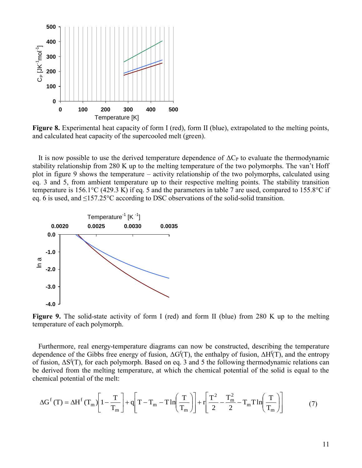

**Figure 8.** Experimental heat capacity of form I (red), form II (blue), extrapolated to the melting points, and calculated heat capacity of the supercooled melt (green).

It is now possible to use the derived temperature dependence of  $\Delta C_P$  to evaluate the thermodynamic stability relationship from 280 K up to the melting temperature of the two polymorphs. The van't Hoff plot in figure 9 shows the temperature – activity relationship of the two polymorphs, calculated using eq. 3 and 5, from ambient temperature up to their respective melting points. The stability transition temperature is 156.1°C (429.3 K) if eq. 5 and the parameters in table 7 are used, compared to 155.8°C if eq. 6 is used, and ≤157.25°C according to DSC observations of the solid-solid transition.



**Figure 9.** The solid-state activity of form I (red) and form II (blue) from 280 K up to the melting temperature of each polymorph.

Furthermore, real energy-temperature diagrams can now be constructed, describing the temperature dependence of the Gibbs free energy of fusion,  $\Delta G^{f}(T)$ , the enthalpy of fusion,  $\Delta H^{f}(T)$ , and the entropy of fusion,  $\Delta S^{f}(T)$ , for each polymorph. Based on eq. 3 and 5 the following thermodynamic relations can be derived from the melting temperature, at which the chemical potential of the solid is equal to the chemical potential of the melt:

$$
\Delta G^{f}(T) = \Delta H^{f}(T_{m}) \left[ 1 - \frac{T}{T_{m}} \right] + q \left[ T - T_{m} - T \ln \left( \frac{T}{T_{m}} \right) \right] + r \left[ \frac{T^{2}}{2} - \frac{T_{m}^{2}}{2} - T_{m} T \ln \left( \frac{T}{T_{m}} \right) \right]
$$
(7)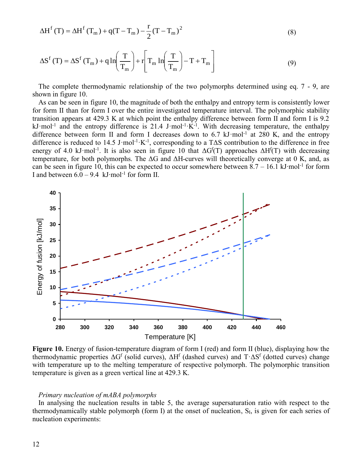$$
\Delta H^{f}(T) = \Delta H^{f}(T_{m}) + q(T - T_{m}) - \frac{r}{2}(T - T_{m})^{2}
$$
\n(8)

$$
\Delta S^{f}(T) = \Delta S^{f}(T_{m}) + q \ln \left(\frac{T}{T_{m}}\right) + r \left[T_{m} \ln \left(\frac{T}{T_{m}}\right) - T + T_{m}\right]
$$
\n(9)

The complete thermodynamic relationship of the two polymorphs determined using eq. 7 - 9, are shown in figure 10.

As can be seen in figure 10, the magnitude of both the enthalpy and entropy term is consistently lower for form II than for form I over the entire investigated temperature interval. The polymorphic stability transition appears at 429.3 K at which point the enthalpy difference between form II and form I is 9.2  $kJ \cdot mol^{-1}$  and the entropy difference is 21.4 J $\cdot$ mol $^{-1}$  $K^{-1}$ . With decreasing temperature, the enthalpy difference between form II and form I decreases down to 6.7  $kJ$  mol<sup>-1</sup> at 280 K, and the entropy difference is reduced to 14.5 J·mol<sup>-1</sup>·K<sup>-1</sup>, corresponding to a T $\Delta S$  contribution to the difference in free energy of 4.0 kJ·mol<sup>-1</sup>. It is also seen in figure 10 that  $\Delta G^{f}(T)$  approaches  $\Delta H^{f}(T)$  with decreasing temperature, for both polymorphs. The  $\Delta G$  and  $\Delta H$ -curves will theoretically converge at 0 K, and, as can be seen in figure 10, this can be expected to occur somewhere between  $8.7 - 16.1 \text{ kJ·mol}^{-1}$  for form I and between 6.0 – 9.4 kJ⋅mol<sup>-1</sup> for form II.



**Figure 10.** Energy of fusion-temperature diagram of form I (red) and form II (blue), displaying how the thermodynamic properties  $\Delta G^f$  (solid curves),  $\Delta H^f$  (dashed curves) and  $T \cdot \Delta S^f$  (dotted curves) change with temperature up to the melting temperature of respective polymorph. The polymorphic transition temperature is given as a green vertical line at 429.3 K.

#### *Primary nucleation of mABA polymorphs*

In analysing the nucleation results in table 5, the average supersaturation ratio with respect to the thermodynamically stable polymorph (form I) at the onset of nucleation, S<sub>I</sub>, is given for each series of nucleation experiments: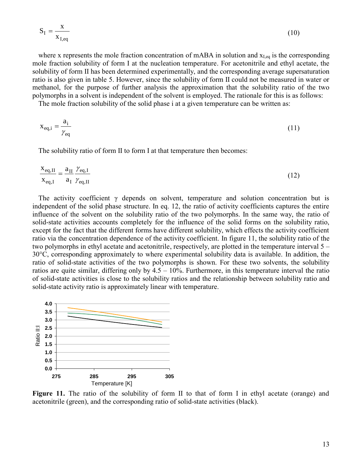$$
S_{I} = \frac{x}{x_{I,eq}}
$$
 (10)

where x represents the mole fraction concentration of mABA in solution and  $x_{I,eq}$  is the corresponding mole fraction solubility of form I at the nucleation temperature. For acetonitrile and ethyl acetate, the solubility of form II has been determined experimentally, and the corresponding average supersaturation ratio is also given in table 5. However, since the solubility of form II could not be measured in water or methanol, for the purpose of further analysis the approximation that the solubility ratio of the two polymorphs in a solvent is independent of the solvent is employed. The rationale for this is as follows:

The mole fraction solubility of the solid phase i at a given temperature can be written as:

$$
x_{\text{eq},i} = \frac{a_i}{\gamma_{\text{eq}}} \tag{11}
$$

The solubility ratio of form II to form I at that temperature then becomes:

$$
\frac{\mathbf{x}_{\text{eq,II}}}{\mathbf{x}_{\text{eq,I}}} = \frac{\mathbf{a}_{\text{II}}}{\mathbf{a}_{\text{I}}} \frac{\gamma_{\text{eq,II}}}{\gamma_{\text{eq,II}}}
$$
(12)

The activity coefficient  $\gamma$  depends on solvent, temperature and solution concentration but is independent of the solid phase structure. In eq. 12, the ratio of activity coefficients captures the entire influence of the solvent on the solubility ratio of the two polymorphs. In the same way, the ratio of solid-state activities accounts completely for the influence of the solid forms on the solubility ratio, except for the fact that the different forms have different solubility, which effects the activity coefficient ratio via the concentration dependence of the activity coefficient. In figure 11, the solubility ratio of the two polymorphs in ethyl acetate and acetonitrile, respectively, are plotted in the temperature interval 5 – 30°C, corresponding approximately to where experimental solubility data is available. In addition, the ratio of solid-state activities of the two polymorphs is shown. For these two solvents, the solubility ratios are quite similar, differing only by  $4.5 - 10\%$ . Furthermore, in this temperature interval the ratio of solid-state activities is close to the solubility ratios and the relationship between solubility ratio and solid-state activity ratio is approximately linear with temperature.



Figure 11. The ratio of the solubility of form II to that of form I in ethyl acetate (orange) and acetonitrile (green), and the corresponding ratio of solid-state activities (black).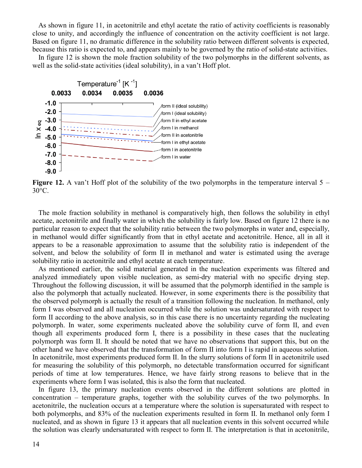As shown in figure 11, in acetonitrile and ethyl acetate the ratio of activity coefficients is reasonably close to unity, and accordingly the influence of concentration on the activity coefficient is not large. Based on figure 11, no dramatic difference in the solubility ratio between different solvents is expected, because this ratio is expected to, and appears mainly to be governed by the ratio of solid-state activities.

In figure 12 is shown the mole fraction solubility of the two polymorphs in the different solvents, as well as the solid-state activities (ideal solubility), in a van't Hoff plot.



**Figure 12.** A van't Hoff plot of the solubility of the two polymorphs in the temperature interval 5 – 30°C.

The mole fraction solubility in methanol is comparatively high, then follows the solubility in ethyl acetate, acetonitrile and finally water in which the solubility is fairly low. Based on figure 12 there is no particular reason to expect that the solubility ratio between the two polymorphs in water and, especially, in methanol would differ significantly from that in ethyl acetate and acetonitrile. Hence, all in all it appears to be a reasonable approximation to assume that the solubility ratio is independent of the solvent, and below the solubility of form II in methanol and water is estimated using the average solubility ratio in acetonitrile and ethyl acetate at each temperature.

As mentioned earlier, the solid material generated in the nucleation experiments was filtered and analyzed immediately upon visible nucleation, as semi-dry material with no specific drying step. Throughout the following discussion, it will be assumed that the polymorph identified in the sample is also the polymorph that actually nucleated. However, in some experiments there is the possibility that the observed polymorph is actually the result of a transition following the nucleation. In methanol, only form I was observed and all nucleation occurred while the solution was undersaturated with respect to form II according to the above analysis, so in this case there is no uncertainty regarding the nucleating polymorph. In water, some experiments nucleated above the solubility curve of form II, and even though all experiments produced form I, there is a possibility in these cases that the nucleating polymorph was form II. It should be noted that we have no observations that support this, but on the other hand we have observed that the transformation of form II into form I is rapid in aqueous solution. In acetonitrile, most experiments produced form II. In the slurry solutions of form II in acetonitrile used for measuring the solubility of this polymorph, no detectable transformation occurred for significant periods of time at low temperatures. Hence, we have fairly strong reasons to believe that in the experiments where form I was isolated, this is also the form that nucleated.

In figure 13, the primary nucleation events observed in the different solutions are plotted in concentration – temperature graphs, together with the solubility curves of the two polymorphs. In acetonitrile, the nucleation occurs at a temperature where the solution is supersaturated with respect to both polymorphs, and 83% of the nucleation experiments resulted in form II. In methanol only form I nucleated, and as shown in figure 13 it appears that all nucleation events in this solvent occurred while the solution was clearly undersaturated with respect to form II. The interpretation is that in acetonitrile,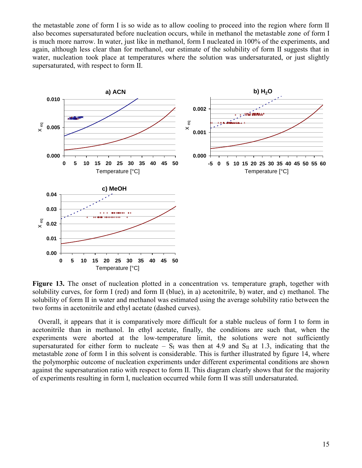the metastable zone of form I is so wide as to allow cooling to proceed into the region where form II also becomes supersaturated before nucleation occurs, while in methanol the metastable zone of form I is much more narrow. In water, just like in methanol, form I nucleated in 100% of the experiments, and again, although less clear than for methanol, our estimate of the solubility of form II suggests that in water, nucleation took place at temperatures where the solution was undersaturated, or just slightly supersaturated, with respect to form II.



**Figure 13.** The onset of nucleation plotted in a concentration vs. temperature graph, together with solubility curves, for form I (red) and form II (blue), in a) acetonitrile, b) water, and c) methanol. The solubility of form II in water and methanol was estimated using the average solubility ratio between the two forms in acetonitrile and ethyl acetate (dashed curves).

Overall, it appears that it is comparatively more difficult for a stable nucleus of form I to form in acetonitrile than in methanol. In ethyl acetate, finally, the conditions are such that, when the experiments were aborted at the low-temperature limit, the solutions were not sufficiently supersaturated for either form to nucleate –  $S_I$  was then at 4.9 and  $S_{II}$  at 1.3, indicating that the metastable zone of form I in this solvent is considerable. This is further illustrated by figure 14, where the polymorphic outcome of nucleation experiments under different experimental conditions are shown against the supersaturation ratio with respect to form II. This diagram clearly shows that for the majority of experiments resulting in form I, nucleation occurred while form II was still undersaturated.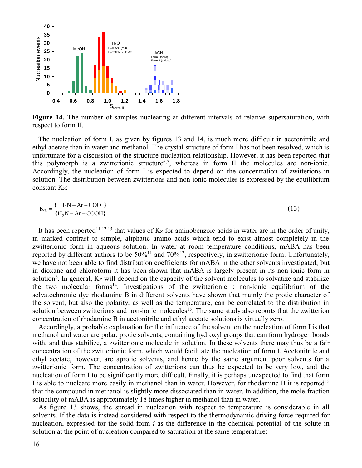

**Figure 14.** The number of samples nucleating at different intervals of relative supersaturation, with respect to form II.

The nucleation of form I, as given by figures 13 and 14, is much more difficult in acetonitrile and ethyl acetate than in water and methanol. The crystal structure of form I has not been resolved, which is unfortunate for a discussion of the structure-nucleation relationship. However, it has been reported that this polymorph is a zwitterionic structure<sup>6,7</sup>, whereas in form II the molecules are non-ionic. Accordingly, the nucleation of form I is expected to depend on the concentration of zwitterions in solution. The distribution between zwitterions and non-ionic molecules is expressed by the equilibrium constant  $K_z$ :

$$
K_{Z} = \frac{\{^{+}H_{3}N - Ar - COO^{-}\}}{\{H_{2}N - Ar - COOH\}}
$$
 (13)

It has been reported<sup>11,12,13</sup> that values of  $K_Z$  for aminobenzoic acids in water are in the order of unity, in marked contrast to simple, aliphatic amino acids which tend to exist almost completely in the zwitterionic form in aqueous solution. In water at room temperature conditions, mABA has been reported by different authors to be 50%<sup>11</sup> and 70%<sup>12</sup>, respectively, in zwitterionic form. Unfortunately, we have not been able to find distribution coefficients for mABA in the other solvents investigated, but in dioxane and chloroform it has been shown that mABA is largely present in its non-ionic form in solution<sup>6</sup>. In general,  $K_Z$  will depend on the capacity of the solvent molecules to solvatize and stabilize the two molecular forms<sup>14</sup>. Investigations of the zwitterionic : non-ionic equilibrium of the solvatochromic dye rhodamine B in different solvents have shown that mainly the protic character of the solvent, but also the polarity, as well as the temperature, can be correlated to the distribution in solution between zwitterions and non-ionic molecules<sup>15</sup>. The same study also reports that the zwitterion concentration of rhodamine B in acetonitrile and ethyl acetate solutions is virtually zero.

Accordingly, a probable explanation for the influence of the solvent on the nucleation of form I is that methanol and water are polar, protic solvents, containing hydroxyl groups that can form hydrogen bonds with, and thus stabilize, a zwitterionic molecule in solution. In these solvents there may thus be a fair concentration of the zwitterionic form, which would facilitate the nucleation of form I. Acetonitrile and ethyl acetate, however, are aprotic solvents, and hence by the same argument poor solvents for a zwitterionic form. The concentration of zwitterions can thus be expected to be very low, and the nucleation of form I to be significantly more difficult. Finally, it is perhaps unexpected to find that form I is able to nucleate more easily in methanol than in water. However, for rhodamine B it is reported<sup>15</sup> that the compound in methanol is slightly more dissociated than in water. In addition, the mole fraction solubility of mABA is approximately 18 times higher in methanol than in water.

As figure 13 shows, the spread in nucleation with respect to temperature is considerable in all solvents. If the data is instead considered with respect to the thermodynamic driving force required for nucleation, expressed for the solid form *i* as the difference in the chemical potential of the solute in solution at the point of nucleation compared to saturation at the same temperature: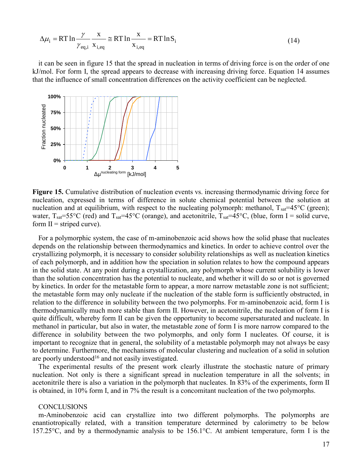$$
\Delta \mu_i = RT \ln \frac{\gamma}{\gamma_{\text{eq},i}} \frac{x}{x_{i,\text{eq}}} \approx RT \ln \frac{x}{x_{i,\text{eq}}} = RT \ln S_i \tag{14}
$$

it can be seen in figure 15 that the spread in nucleation in terms of driving force is on the order of one kJ/mol. For form I, the spread appears to decrease with increasing driving force. Equation 14 assumes that the influence of small concentration differences on the activity coefficient can be neglected.



**Figure 15.** Cumulative distribution of nucleation events vs. increasing thermodynamic driving force for nucleation, expressed in terms of difference in solute chemical potential between the solution at nucleation and at equilibrium, with respect to the nucleating polymorph: methanol,  $T_{sat} = 45^{\circ}$ C (green); water,  $T_{\text{sat}}=55^{\circ}\text{C}$  (red) and  $T_{\text{sat}}=45^{\circ}\text{C}$  (orange), and acetonitrile,  $T_{\text{sat}}=45^{\circ}\text{C}$ , (blue, form I = solid curve, form  $II =$  striped curve).

(14)<br>
eleation in terms of driving force is on the order of one<br>
e with increasing driving force. Equation 14 assumes<br>
es on the activity coefficient can be neglected.<br>
<br>
<br>
<br> **S**<br>
counts vs. increasing thermodynamic driv For a polymorphic system, the case of m-aminobenzoic acid shows how the solid phase that nucleates depends on the relationship between thermodynamics and kinetics. In order to achieve control over the crystallizing polymorph, it is necessary to consider solubility relationships as well as nucleation kinetics of each polymorph, and in addition how the speciation in solution relates to how the compound appears in the solid state. At any point during a crystallization, any polymorph whose current solubility is lower than the solution concentration has the potential to nucleate, and whether it will do so or not is governed by kinetics. In order for the metastable form to appear, a more narrow metastable zone is not sufficient; the metastable form may only nucleate if the nucleation of the stable form is sufficiently obstructed, in relation to the difference in solubility between the two polymorphs. For m-aminobenzoic acid, form I is thermodynamically much more stable than form II. However, in acetonitrile, the nucleation of form I is quite difficult, whereby form II can be given the opportunity to become supersaturated and nucleate. In methanol in particular, but also in water, the metastable zone of form I is more narrow compared to the difference in solubility between the two polymorphs, and only form I nucleates. Of course, it is important to recognize that in general, the solubility of a metastable polymorph may not always be easy to determine. Furthermore, the mechanisms of molecular clustering and nucleation of a solid in solution are poorly understood<sup>16</sup> and not easily investigated.

The experimental results of the present work clearly illustrate the stochastic nature of primary nucleation. Not only is there a significant spread in nucleation temperature in all the solvents; in acetonitrile there is also a variation in the polymorph that nucleates. In 83% of the experiments, form II is obtained, in 10% form I, and in 7% the result is a concomitant nucleation of the two polymorphs.

## **CONCLUSIONS**

m-Aminobenzoic acid can crystallize into two different polymorphs. The polymorphs are enantiotropically related, with a transition temperature determined by calorimetry to be below 157.25°C, and by a thermodynamic analysis to be 156.1°C. At ambient temperature, form I is the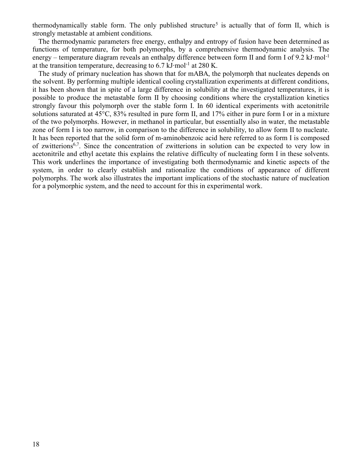thermodynamically stable form. The only published structure<sup>5</sup> is actually that of form II, which is strongly metastable at ambient conditions.

The thermodynamic parameters free energy, enthalpy and entropy of fusion have been determined as functions of temperature, for both polymorphs, by a comprehensive thermodynamic analysis. The energy – temperature diagram reveals an enthalpy difference between form II and form I of 9.2 kJ∙mol<sup>-1</sup> at the transition temperature, decreasing to 6.7 kJ∙mol-1 at 280 K.

The study of primary nucleation has shown that for mABA, the polymorph that nucleates depends on the solvent. By performing multiple identical cooling crystallization experiments at different conditions, it has been shown that in spite of a large difference in solubility at the investigated temperatures, it is possible to produce the metastable form II by choosing conditions where the crystallization kinetics strongly favour this polymorph over the stable form I. In 60 identical experiments with acetonitrile solutions saturated at 45°C, 83% resulted in pure form II, and 17% either in pure form I or in a mixture of the two polymorphs. However, in methanol in particular, but essentially also in water, the metastable zone of form I is too narrow, in comparison to the difference in solubility, to allow form II to nucleate. It has been reported that the solid form of m-aminobenzoic acid here referred to as form I is composed of zwitterions<sup>6,7</sup>. Since the concentration of zwitterions in solution can be expected to very low in acetonitrile and ethyl acetate this explains the relative difficulty of nucleating form I in these solvents. This work underlines the importance of investigating both thermodynamic and kinetic aspects of the system, in order to clearly establish and rationalize the conditions of appearance of different polymorphs. The work also illustrates the important implications of the stochastic nature of nucleation for a polymorphic system, and the need to account for this in experimental work.